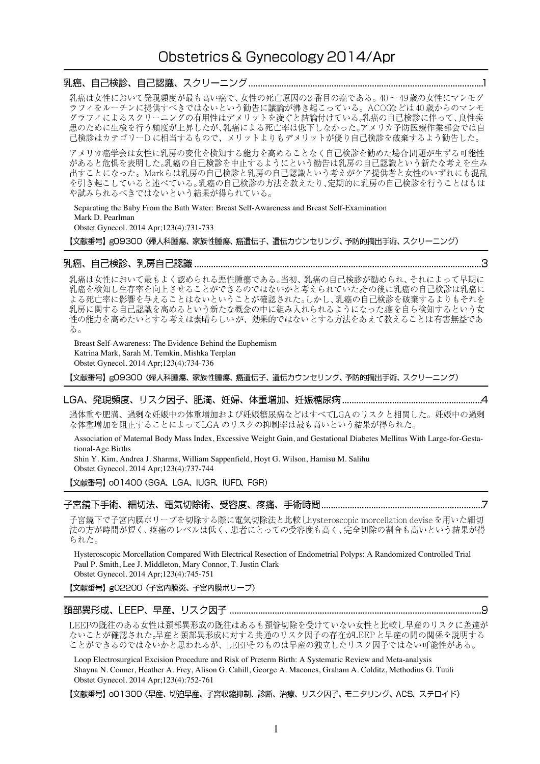## 

乳癌は女性において発現頻度が最も高い癌で、女性の死亡原因の2番目の癌である。40~49歳の女性にマンモグ ラフィをルーチンに提供すべきではないという勧告に議論が沸き起こっている。ACOGなどは40歳からのマンモ グラフィによるスクリーニングの有用性はデメリットを凌ぐと結論付けている。乳癌の自己検診に伴って、良性疾 患のために生検を行う頻度が上昇したが、乳癌による死亡率は低下しなかった。アメリカ予防医療作業部会では自 忘っために土灰と青り残反が土弁したが、記論による元二十は云十しながった。アクラッカもの法原作来品会では自<br>己検診はカテゴリーDに相当するもので、メリットよりもデメリットが優り自己検診を破棄するよう勧告した。

アメリカ癌学会は女性に乳房の変化を検知する能力を高めることなく自己検診を勧めた場合問題が生ずる可能性 があると危惧を表明した。乳癌の自己検診を中止するようにという勧告は乳房の自己認識という新たな考えを生み<br>出すことになった。Markらは乳房の自己検診と乳房の自己認識という考えがケア提供者と女性のいずれにも混乱 を引き起こしていると述べている。乳癌の自己検診の方法を教えたり、定期的に乳房の自己検診を行うことはもは や試みられるべきではないという結果が得られている。

Separating the Baby From the Bath Water: Breast Self-Awareness and Breast Self-Examination Mark D. Pearlman

Obstet Gynecol. 2014 Apr;123(4):731-733

【文献番号】gO9300(婦人科腫瘍、家族性腫瘍、癌遺伝子、遺伝カウンセリング、予防的摘出手術、スクリーニング)

## 

乳癌は女性において最もよく認められる悪性腫瘍である。当初、乳癌の自己検診が勧められ、それによって早期に 乳癌を検知し生存率を向上させることができるのではないかと考えられていたその後に乳癌の自己検診は乳癌に よる死亡率に影響を与えることはないということが確認された。しかし、乳癌の自己検診を破棄するよりもそれを 乳房に関する自己認識を高めるという新たな概念の中に組み入れられるようになった癌を自ら検知するという女 性の能力を高めたいとする考えは素晴らしいが、効果的ではないとする方法をあえて教えることは有害無益であ る。

Breast Self-Awareness: The Evidence Behind the Euphemism Katrina Mark, Sarah M. Temkin, Mishka Terplan Obstet Gynecol. 2014 Apr;123(4):734-736

【文献番号】gO9300 (婦人科腫瘍、家族性腫瘍、癌遺伝子、遺伝カウンセリング、予防的摘出手術、スクリーニング)

### 

過体重や肥満、過剰な妊娠中の体重増加および妊娠糖尿病などはすべてLGAのリスクと相関した。妊娠中の過剰 な体重増加を阻止することによってLGA のリスクの抑制率は最も高いという結果が得られた。

Association of Maternal Body Mass Index, Excessive Weight Gain, and Gestational Diabetes Mellitus With Large-for-Gestational-Age Births

Shin Y. Kim, Andrea J. Sharma, William Sappenfield, Hoyt G. Wilson, Hamisu M. Salihu Obstet Gynecol. 2014 Apr;123(4):737-744

【文献番号】 oO1400 (SGA、LGA、IUGR、IUFD、FGR)

### 

子宮鏡下で子宮内膜ポリープを切除する際に電気切除法と比較 Lhysteroscopic morcellation deviseを用いた細切 法の方が時間が短く、疼痛のレベルは低く、患者にとっての受容度も高く、完全切除の割合も高いという結果が得 られた。

Hysteroscopic Morcellation Compared With Electrical Resection of Endometrial Polyps: A Randomized Controlled Trial Paul P. Smith, Lee J. Middleton, Mary Connor, T. Justin Clark Obstet Gynecol. 2014 Apr;123(4):745-751

【文献番号】g02200 (子宮内膜炎、子宮内膜ポリープ)

# 

LEEPの既往のある女性は頚部異形成の既往はあるも頚管切除を受けていない女性と比較し早産のリスクに差違が ないことが確認された。早産と頚部異形成に対する共通のリスク因子の存在がLEEPと早産の間の関係を説明する ことができるのではないかと思われるが、LEEPそのものは早産の独立したリスク因子ではない可能性がある。

Loop Electrosurgical Excision Procedure and Risk of Preterm Birth: A Systematic Review and Meta-analysis Shayna N. Conner, Heather A. Frey, Alison G. Cahill, George A. Macones, Graham A. Colditz, Methodius G. Tuuli Obstet Gynecol. 2014 Apr;123(4):752-761

【文献番号】 o01300 (早産、切迫早産、子宮収縮抑制、診断、治療、リスク因子、モニタリング、ACS、ステロイド)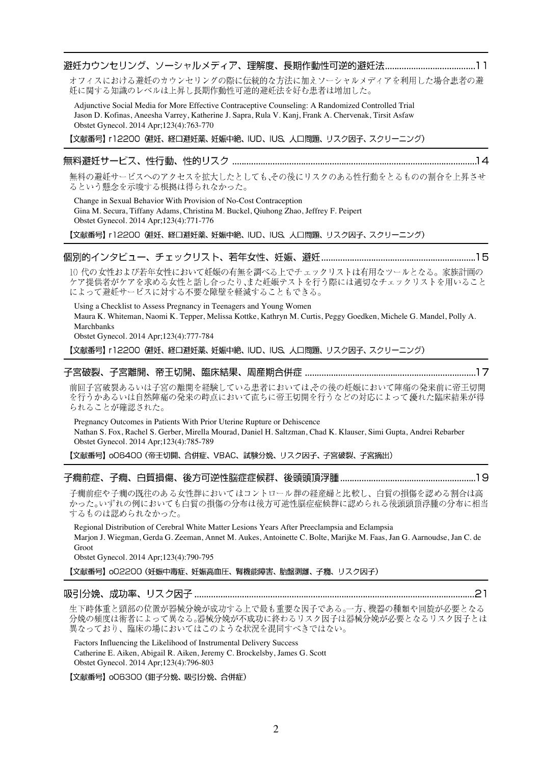# 

オフィスにおける避妊のカウンセリングの際に伝統的な方法に加えソーシャルメディアを利用した場合患者の避 妊に関する知識のレベルは上昇し長期作動性可逆的避妊法を好む患者は増加した。

Adjunctive Social Media for More Effective Contraceptive Counseling: A Randomized Controlled Trial Jason D. Kofinas, Aneesha Varrey, Katherine J. Sapra, Rula V. Kanj, Frank A. Chervenak, Tirsit Asfaw Obstet Gynecol. 2014 Apr;123(4):763-770

【文献番号】 r12200 (避妊、経口避妊薬、妊娠中絶、IUD、IUS、人口問題、リスク因子、スクリーニング)

無料の避妊サービスへのアクセスを拡大したとしても、その後にリスクのある性行動をとるものの割合を上昇させ るという懸念を示唆する根拠は得られなかった。

Change in Sexual Behavior With Provision of No-Cost Contraception Gina M. Secura, Tiffany Adams, Christina M. Buckel, Qiuhong Zhao, Jeffrey F. Peipert Obstet Gynecol. 2014 Apr;123(4):771-776

【文献番号】 r12200 (避妊、経口避妊薬、妊娠中絶、IUD、IUS、人口問題、リスク因子、スクリーニング)

## \_個別的インタビュー、チェックリスト、若年女性、妊娠、避妊……………………………………………………………15

10代の女性および若年女性において妊娠の有無を調べる上でチェックリストは有用なツールとなる。家族計画の ケア提供者がケアを求める女性と話し合ったり、また妊娠テストを行う際には適切なチェックリストを用いること によって避妊サービスに対する不要な障壁を軽減することもできる。

Using a Checklist to Assess Pregnancy in Teenagers and Young Women Maura K. Whiteman, Naomi K. Tepper, Melissa Kottke, Kathryn M. Curtis, Peggy Goedken, Michele G. Mandel, Polly A. Marchbanks Obstet Gynecol. 2014 Apr;123(4):777-784

【文献番号】 r12200 (避妊、経口避妊薬、妊娠中絶、IUD、IUS、人口問題、リスク因子、スクリーニング)

### 

前回子宮破裂あるいは子宮の離開を経験している患者においては、その後の妊娠において陣痛の発来前に帝王切開 を行うかあるいは自然陣痛の発来の時点において直ちに帝王切開を行うなどの対応によって優れた臨床結果が得 られることが確認された。

Pregnancy Outcomes in Patients With Prior Uterine Rupture or Dehiscence Nathan S. Fox, Rachel S. Gerber, Mirella Mourad, Daniel H. Saltzman, Chad K. Klauser, Simi Gupta, Andrei Rebarber Obstet Gynecol. 2014 Apr;123(4):785-789

【文献番号】 006400 (帝王切開、合併症、VBAC、試験分娩、リスク因子、子宮破裂、子宮摘出)

子癇前症や子癇の既往のある女性群においてはコントロール群の経産婦と比較し、白質の損傷を認める割合は高 かった。いずれの例においても白質の損傷の分布は後方可逆性脳症症候群に認められる後頭頭頂浮腫の分布に相当 するものは認められなかった。

Regional Distribution of Cerebral White Matter Lesions Years After Preeclampsia and Eclampsia Marjon J. Wiegman, Gerda G. Zeeman, Annet M. Aukes, Antoinette C. Bolte, Marijke M. Faas, Jan G. Aarnoudse, Jan C. de Groot

Obstet Gynecol. 2014 Apr;123(4):790-795

【文献番号】 o02200 (妊娠中毒症、妊娠高血圧、腎機能障害、胎盤剥離、子癇、リスク因子)

### 

生下時体重と頭部の位置が器械分娩が成功する上で最も重要な因子である。一方、機器の種類や回旋が必要となる 分娩の頻度は術者によって異なる。器械分娩が不成功に終わるリスク因子は器械分娩が必要となるリスク因子とは 異なっており、臨床の場においてはこのような状況を混同すべきではない。

Factors Influencing the Likelihood of Instrumental Delivery Success Catherine E. Aiken, Abigail R. Aiken, Jeremy C. Brockelsby, James G. Scott Obstet Gynecol. 2014 Apr;123(4):796-803

【文献番号】 006300 (鉗子分娩、吸引分娩、合併症)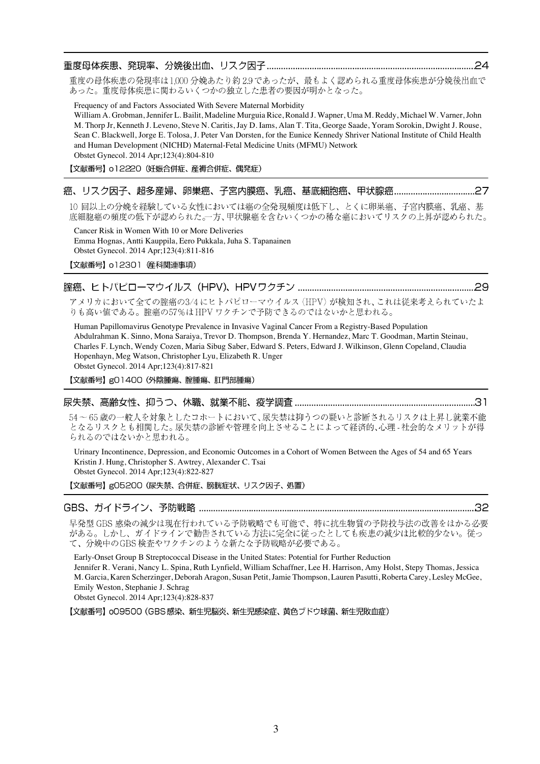重度の母体疾患の発現率は1,000 分娩あたり約2.9 であったが、最もよく認められる重度母体疾患が分娩後出血で あった。重度母体疾患に関わるいくつかの独立した患者の要因が明かとなった。

Frequency of and Factors Associated With Severe Maternal Morbidity

William A. Grobman, Jennifer L. Bailit, Madeline Murguia Rice, Ronald J. Wapner, Uma M. Reddy, Michael W. Varner, John M. Thorp Jr, Kenneth J. Leveno, Steve N. Caritis, Jay D. Iams, Alan T. Tita, George Saade, Yoram Sorokin, Dwight J. Rouse, Sean C. Blackwell, Jorge E. Tolosa, J. Peter Van Dorsten, for the Eunice Kennedy Shriver National Institute of Child Health and Human Development (NICHD) Maternal-Fetal Medicine Units (MFMU) Network Obstet Gynecol. 2014 Apr;123(4):804-810

【文献番号】 o12220 (妊娠合併症、産褥合併症、偶発症)

## 

10回以上の分娩を経験している女性においては癌の全発現頻度は低下し、とくに卵巣癌、子宮内膜癌、乳癌、基 底細胞癌の頻度の低下が認められた。一方、甲状腺癌を含むいくつかの稀な癌においてリスクの上昇が認められた。

Cancer Risk in Women With 10 or More Deliveries Emma Hognas, Antti Kauppila, Eero Pukkala, Juha S. Tapanainen Obstet Gynecol. 2014 Apr;123(4):811-816

【文献番号】 o12301 産科関連事項)

## 腟癌、ヒトパピローマウイルス(HPV)、HPVワクチン ……………………………………………………………………………………29

アメリカにおいて全ての腟癌の3/4にヒトパピローマウイルス (HPV) が検知され、これは従来考えられていたよ りも高い値である。腟癌の57%はHPVワクチンで予防できるのではないかと思われる。

Human Papillomavirus Genotype Prevalence in Invasive Vaginal Cancer From a Registry-Based Population Abdulrahman K. Sinno, Mona Saraiya, Trevor D. Thompson, Brenda Y. Hernandez, Marc T. Goodman, Martin Steinau, Charles F. Lynch, Wendy Cozen, Maria Sibug Saber, Edward S. Peters, Edward J. Wilkinson, Glenn Copeland, Claudia Hopenhayn, Meg Watson, Christopher Lyu, Elizabeth R. Unger Obstet Gynecol. 2014 Apr;123(4):817-821

【文献番号】gO1400 (外陰腫瘍、腟腫瘍、肛門部腫瘍)

### 

54~65 歳の一般人を対象としたコホートにおいて、尿失禁は抑うつの疑いと診断されるリスクは上昇し就業不能 となるリスクとも相関した。尿失禁の診断や管理を向上させることによって経済的、心理-社会的なメリットが得 られるのではないかと思われる。

Urinary Incontinence, Depression, and Economic Outcomes in a Cohort of Women Between the Ages of 54 and 65 Years Kristin J. Hung, Christopher S. Awtrey, Alexander C. Tsai Obstet Gynecol. 2014 Apr;123(4):822-827

【文献番号】g05200 (尿失禁、合併症、膀胱症状、リスク因子、処置)

## 

早発型 GBS 感染の減少は現在行われている予防戦略でも可能で、特に抗生物質の予防投与法の改善をはかる必要 がある。しかし、ガイドラインで勧告されている方法に完全に従ったとしても疾患の減少は比較的少ない。従っ て、分娩中のGBS検査やワクチンのような新たな予防戦略が必要である。

Early-Onset Group B Streptococcal Disease in the United States: Potential for Further Reduction Jennifer R. Verani, Nancy L. Spina, Ruth Lynfield, William Schaffner, Lee H. Harrison, Amy Holst, Stepy Thomas, Jessica M. Garcia, Karen Scherzinger, Deborah Aragon, Susan Petit, Jamie Thompson, Lauren Pasutti, Roberta Carey, Lesley McGee, Emily Weston, Stephanie J. Schrag

Obstet Gynecol. 2014 Apr;123(4):828-837

【文献番号】 oO9500 (GBS 感染、新生児脳炎、新生児感染症、黄色ブドウ球菌、新生児敗血症)